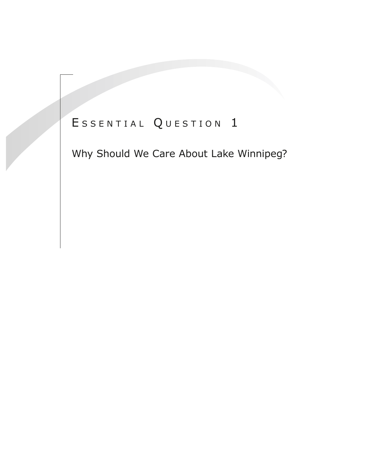# ESSENTIAL QUESTION 1

Why Should We Care About Lake Winnipeg?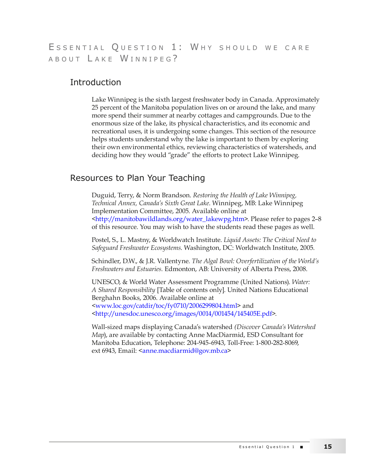# ESSENTIAL QUESTION 1: WHY SHOULD WE CARE A B O U T L A K E W I N N I P E G ?

# **Introduction**

Lake Winnipeg is the sixth largest freshwater body in Canada. Approximately 25 percent of the Manitoba population lives on or around the lake, and many more spend their summer at nearby cottages and campgrounds. Due to the enormous size of the lake, its physical characteristics, and its economic and recreational uses, it is undergoing some changes. This section of the resource helps students understand why the lake is important to them by exploring their own environmental ethics, reviewing characteristics of watersheds, and deciding how they would "grade" the efforts to protect Lake Winnipeg.

# Resources to Plan Your Teaching

Duguid, Terry, & Norm Brandson. *Restoring the Health of Lake Winnipeg, Technical Annex, Canada's Sixth Great Lake*. Winnipeg, MB: Lake Winnipeg Implementation Committee, 2005. Available online at <http://manitobawildlands.org/water\_lakewpg.htm>. Please refer to pages 2–8 of this resource. [You may wish to have the](http://manitobawildlands.org/water_lakewpg.htm) students read these pages as well.

Postel, S., L. Mastny, & Worldwatch Institute. *Liquid Assets: The Critical Need to Safeguard Freshwater Ecosystems*. Washington, DC: Worldwatch Institute, 2005.

Schindler, D.W., & J.R. Vallentyne. *The Algal Bowl: Overfertilization of the World's Freshwaters and Estuaries.* Edmonton, AB: University of Alberta Press, 2008.

UNESCO, & World Water Assessment Programme (United Nations). *Water: A Shared Responsibility* [Table of contents only]. United Nations Educational Berghahn Books, 2006. Available online at <www.loc.gov/catdir/toc/fy0710/2006299804.html> and [<http://unesdoc.unesco.org/images/0014/001454/](http://www.loc.gov/catdir/toc/fy0710/2006299804.html)145405E.pdf>.

[Wall-sized maps displaying Canada's watershed](http://unesdoc.unesco.org/images/0014/001454/145405E.pdf) *(Discover Canada's Watershed Map*), are available by contacting Anne MacDiarmid, ESD Consultant for Manitoba Education, Telephone: 204-945-6943, Toll-Free: 1-800-282-8069, ext 6943, Email: <[anne.macdiarmid@gov.mb.ca](mailto:anne.macdiarmid@gov.mb.ca)>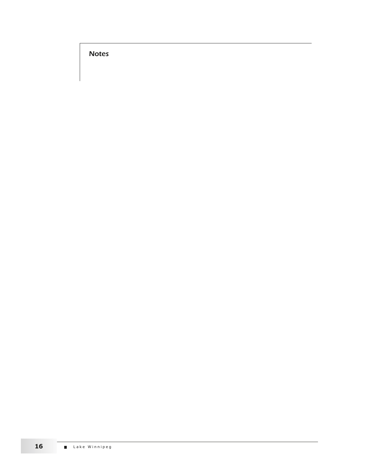**Notes**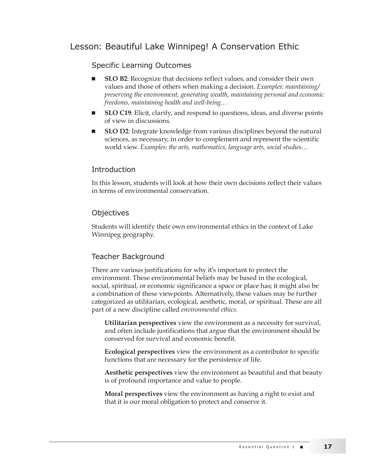# Lesson: Beautiful Lake Winnipeg! A Conservation Ethic

# Specific Learning Outcomes

- **SLO B2**: Recognize that decisions reflect values, and consider their own values and those of others when making a decision. *Examples: maintaining/ preserving the environment, generating wealth, maintaining personal and economic freedoms, maintaining health and well-being…*
- **SLO C19**: Elicit, clarify, and respond to questions, ideas, and diverse points of view in discussions.
- **SLO D2**: Integrate knowledge from various disciplines beyond the natural sciences, as necessary, in order to complement and represent the scientific world view. *Examples: the arts, mathematics, language arts, social studies…*

#### **Introduction**

In this lesson, students will look at how their own decisions reflect their values in terms of environmental conservation.

#### **Objectives**

Students will identify their own environmental ethics in the context of Lake Winnipeg geography.

#### Teacher Background

There are various justifications for why it's important to protect the environment. These environmental beliefs may be based in the ecological, social, spiritual, or economic significance a space or place has; it might also be a combination of these viewpoints. Alternatively, these values may be further categorized as utilitarian, ecological, aesthetic, moral, or spiritual. These are all part of a new discipline called *environmental ethics*.

**Utilitarian perspectives** view the environment as a necessity for survival, and often include justifications that argue that the environment should be conserved for survival and economic benefit.

**Ecological perspectives** view the environment as a contributor to specific functions that are necessary for the persistence of life.

**Aesthetic perspectives** view the environment as beautiful and that beauty is of profound importance and value to people.

**Moral perspectives** view the environment as having a right to exist and that it is our moral obligation to protect and conserve it.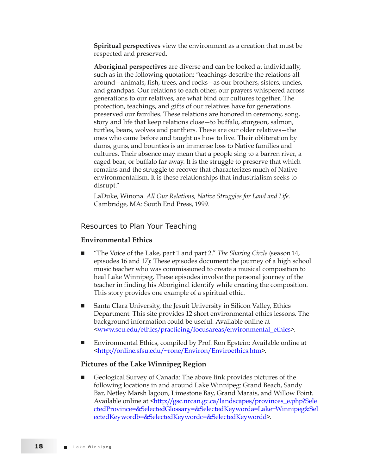**Spiritual perspectives** view the environment as a creation that must be respected and preserved.

**Aboriginal perspectives** are diverse and can be looked at individually, such as in the following quotation: "teachings describe the relations all around—animals, fish, trees, and rocks—as our brothers, sisters, uncles, and grandpas. Our relations to each other, our prayers whispered across generations to our relatives, are what bind our cultures together. The protection, teachings, and gifts of our relatives have for generations preserved our families. These relations are honored in ceremony, song, story and life that keep relations close—to buffalo, sturgeon, salmon, turtles, bears, wolves and panthers. These are our older relatives—the ones who came before and taught us how to live. Their obliteration by dams, guns, and bounties is an immense loss to Native families and cultures. Their absence may mean that a people sing to a barren river, a caged bear, or buffalo far away. It is the struggle to preserve that which remains and the struggle to recover that characterizes much of Native environmentalism. It is these relationships that industrialism seeks to disrupt."

LaDuke, Winona. *All Our Relations, Native Struggles for Land and Life.* Cambridge, MA: South End Press, 1999.

#### Resources to Plan Your Teaching

#### **Environmental Ethics**

- <sup>Q</sup> "The Voice of the Lake, part 1 and part 2." *The Sharing Circle* (season 14, episodes 16 and 17): These episodes document the journey of a high school music teacher who was commissioned to create a musical composition to heal Lake Winnipeg. These episodes involve the personal journey of the teacher in finding his Aboriginal identify while creating the composition. This story provides one example of a spiritual ethic.
- Santa Clara University, the Jesuit University in Silicon Valley, Ethics Department: This site provides 12 short environmental ethics lessons. The background information could be useful. Available online at [<www.scu.edu/ethics/practicing/focusareas/environmental\\_ethics>](http://www.scu.edu/ethics/practicing/focusareas/environmental_ethics).
- Environmental Ethics, compiled by Prof. Ron Epstein: Available online at [<http://online.sfsu.edu/~rone/Environ/Enviroethics.htm](http://online.sfsu.edu/~rone/Environ/Enviroethics.htm)>.

#### **Pictures of the Lake Winnipeg Region**

<sup>Q</sup> Geological Survey of Canada: The above link provides pictures of the following locations in and around Lake Winnipeg: Grand Beach, Sandy Bar, Netley Marsh lagoon, Limestone Bay, Grand Marais, and Willow Point. Available online at <[http://gsc.nrcan.gc.ca/landscapes/provinces\\_e.php?Sele](http://gsc.nrcan.gc.ca/landscapes/provinces_e.php?SelectedProvince=&SelectedGlossary=&SelectedKeyworda=Lake+Winnipeg&SelectedKeywordb=&SelectedKeywordc=&SelectedKeywordd) [ctedProvince=&SelectedGlossary=&SelectedKeyworda=Lake+Winnipeg&Sel](http://gsc.nrcan.gc.ca/landscapes/provinces_e.php?SelectedProvince=&SelectedGlossary=&SelectedKeyworda=Lake+Winnipeg&SelectedKeywordb=&SelectedKeywordc=&SelectedKeywordd) [ectedKeywordb=&SelectedKeywordc=&SelectedKeywordd>](http://gsc.nrcan.gc.ca/landscapes/provinces_e.php?SelectedProvince=&SelectedGlossary=&SelectedKeyworda=Lake+Winnipeg&SelectedKeywordb=&SelectedKeywordc=&SelectedKeywordd).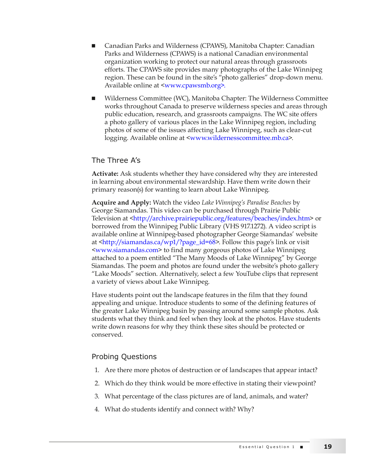- <sup>Q</sup> Canadian Parks and Wilderness (CPAWS), Manitoba Chapter: Canadian Parks and Wilderness (CPAWS) is a national Canadian environmental organization working to protect our natural areas through grassroots efforts. The CPAWS site provides many photographs of the Lake Winnipeg region. These can be found in the site's "photo galleries" drop-down menu. Available online at <[www.cpawsmb.org](http://www.cpawsmb.org)>.
- Wilderness Committee (WC), Manitoba Chapter: The Wilderness Committee works throughout Canada to preserve wilderness species and areas through public education, research, and grassroots campaigns. The WC site offers a photo gallery of various places in the Lake Winnipeg region, including photos of some of the issues affecting Lake Winnipeg, such as clear-cut l[ogging. Available online at <www.](http://www.wildernesscommittee.mb.ca)wildernesscommittee.mb.ca>.

#### The Three A's

**Activate:** Ask students whether they have considered why they are interested in learning about environmental stewardship. Have them write down their primary reason(s) for wanting to learn about Lake Winnipeg.

**Acquire and Apply:** Watch the video *Lake Winnipeg's Paradise Beaches* by George Siamandas. This video can be purchased through Prairie Public Television at <http://archive.prairiepublic.org/features/beaches/index.htm> or borrowed fro[m the Winnipeg Public Library \(VHS 917.1272\). A video script](http://archive.prairiepublic.org/features/beaches/index.htm) is available online at Winnipeg-based photographer George Siamandas' website at <http://siamandas.ca/wp1/?page\_id=68>. Follow this page's link or visit <w[ww.siamandas.com> to find many gorg](http://siamandas.ca/wp1/?page_id=68)eous photos of Lake Winnipeg [attached to a poem entit](http://www.siamandas.com)led "The Many Moods of Lake Winnipeg" by George Siamandas. The poem and photos are found under the website's photo gallery "Lake Moods" section. Alternatively, select a few YouTube clips that represent a variety of views about Lake Winnipeg.

Have students point out the landscape features in the film that they found appealing and unique. Introduce students to some of the defining features of the greater Lake Winnipeg basin by passing around some sample photos. Ask students what they think and feel when they look at the photos. Have students write down reasons for why they think these sites should be protected or conserved.

#### Probing Questions

- 1. Are there more photos of destruction or of landscapes that appear intact?
- 2. Which do they think would be more effective in stating their viewpoint?
- 3. What percentage of the class pictures are of land, animals, and water?
- 4. What do students identify and connect with? Why?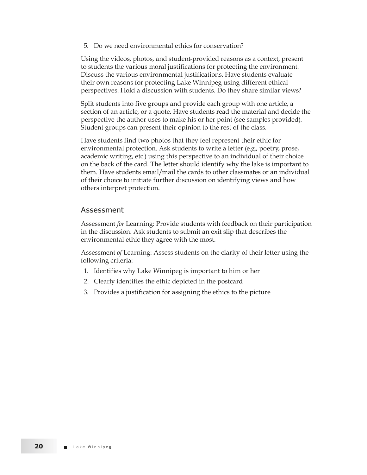5. Do we need environmental ethics for conservation?

Using the videos, photos, and student-provided reasons as a context, present to students the various moral justifications for protecting the environment. Discuss the various environmental justifications. Have students evaluate their own reasons for protecting Lake Winnipeg using different ethical perspectives. Hold a discussion with students. Do they share similar views?

Split students into five groups and provide each group with one article, a section of an article, or a quote. Have students read the material and decide the perspective the author uses to make his or her point (see samples provided). Student groups can present their opinion to the rest of the class.

Have students find two photos that they feel represent their ethic for environmental protection. Ask students to write a letter (e.g., poetry, prose, academic writing, etc.) using this perspective to an individual of their choice on the back of the card. The letter should identify why the lake is important to them. Have students email/mail the cards to other classmates or an individual of their choice to initiate further discussion on identifying views and how others interpret protection.

#### Assessment

Assessment *for* Learning: Provide students with feedback on their participation in the discussion. Ask students to submit an exit slip that describes the environmental ethic they agree with the most.

Assessment *of* Learning: Assess students on the clarity of their letter using the following criteria:

- 1. Identifies why Lake Winnipeg is important to him or her
- 2. Clearly identifies the ethic depicted in the postcard
- 3. Provides a justification for assigning the ethics to the picture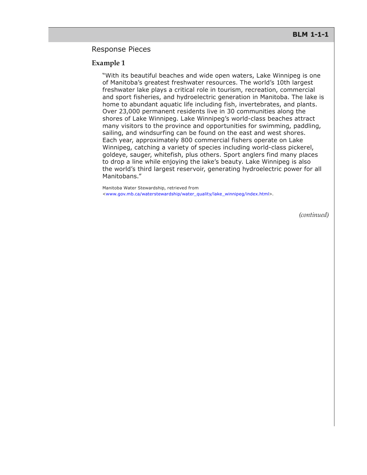#### Response Pieces

#### **Example 1**

"With its beautiful beaches and wide open waters, Lake Winnipeg is one of Manitoba's greatest freshwater resources. The world's 10th largest freshwater lake plays a critical role in tourism, recreation, commercial and sport fisheries, and hydroelectric generation in Manitoba. The lake is home to abundant aquatic life including fish, invertebrates, and plants. Over 23,000 permanent residents live in 30 communities along the shores of Lake Winnipeg. Lake Winnipeg's world-class beaches attract many visitors to the province and opportunities for swimming, paddling, sailing, and windsurfing can be found on the east and west shores. Each year, approximately 800 commercial fishers operate on Lake Winnipeg, catching a variety of species including world-class pickerel, goldeye, sauger, whitefish, plus others. Sport anglers find many places to drop a line while enjoying the lake's beauty. Lake Winnipeg is also the world's third largest reservoir, generating hydroelectric power for all Manitobans."

Manitoba Water Stewardship, retrieved from <[www.gov.mb.ca/waterstewardship/water\\_quality/lake\\_winnipeg/index.html>](http://www.gov.mb.ca/waterstewardship/water_quality/lake_winnipeg/index.html).

*(continued)*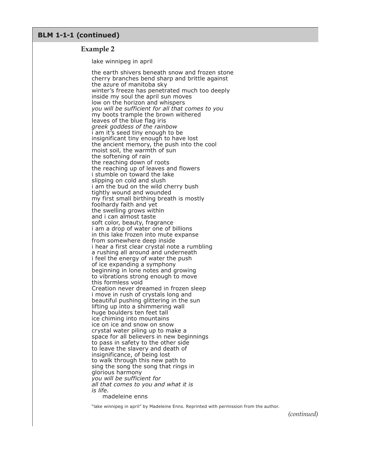#### **BLM 1-1-1 (continued)**

#### **Example 2**

lake winnipeg in april

the earth shivers beneath snow and frozen stone cherry branches bend sharp and brittle against the azure of manitoba sky winter's freeze has penetrated much too deeply inside my soul the april sun moves low on the horizon and whispers *you will be sufficient for all that comes to you* my boots trample the brown withered leaves of the blue flag iris *greek goddess of the rainbow* i am it's seed tiny enough to be insignificant tiny enough to have lost the ancient memory, the push into the cool moist soil, the warmth of sun the softening of rain the reaching down of roots the reaching up of leaves and flowers i stumble on toward the lake slipping on cold and slush i am the bud on the wild cherry bush tightly wound and wounded my first small birthing breath is mostly foolhardy faith and yet the swelling grows within and i can almost taste soft color, beauty, fragrance i am a drop of water one of billions in this lake frozen into mute expanse from somewhere deep inside i hear a first clear crystal note a rumbling a rushing all around and underneath i feel the energy of water the push of ice expanding a symphony beginning in lone notes and growing to vibrations strong enough to move this formless void Creation never dreamed in frozen sleep i move in rush of crystals long and beautiful pushing glittering in the sun lifting up into a shimmering wall huge boulders ten feet tall ice chiming into mountains ice on ice and snow on snow crystal water piling up to make a space for all believers in new beginnings to pass in safety to the other side to leave the slavery and death of insignificance, of being lost to walk through this new path to sing the song the song that rings in glorious harmony *you will be sufficient for all that comes to you and what it is is life.* madeleine enns

"lake winnipeg in april" by Madeleine Enns. Reprinted with permission from the author.

*(continued)*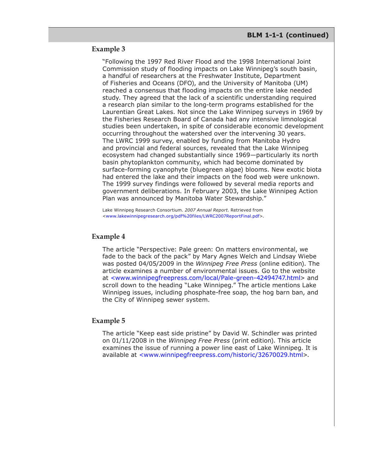#### **Example 3**

"Following the 1997 Red River Flood and the 1998 International Joint Commission study of flooding impacts on Lake Winnipeg's south basin, a handful of researchers at the Freshwater Institute, Department of Fisheries and Oceans (DFO), and the University of Manitoba (UM) reached a consensus that flooding impacts on the entire lake needed study. They agreed that the lack of a scientific understanding required a research plan similar to the long-term programs established for the Laurentian Great Lakes. Not since the Lake Winnipeg surveys in 1969 by the Fisheries Research Board of Canada had any intensive limnological studies been undertaken, in spite of considerable economic development occurring throughout the watershed over the intervening 30 years. The LWRC 1999 survey, enabled by funding from Manitoba Hydro and provincial and federal sources, revealed that the Lake Winnipeg ecosystem had changed substantially since 1969—particularly its north basin phytoplankton community, which had become dominated by surface-forming cyanophyte (bluegreen algae) blooms. New exotic biota had entered the lake and their impacts on the food web were unknown. The 1999 survey findings were followed by several media reports and government deliberations. In February 2003, the Lake Winnipeg Action Plan was announced by Manitoba Water Stewardship."

Lake Winnipeg Research Consortium. *2007 Annual Report*. Retrieved from <[www.lakewinnipegresearch.org/pdf%20files/LWRC2007ReportFinal.pdf>](http://www.lakewinnipegresearch.org/pdf%20files/LWRC2007ReportFinal.pdf).

#### **Example 4**

The article "Perspective: Pale green: On matters environmental, we fade to the back of the pack" by Mary Agnes Welch and Lindsay Wiebe was posted 04/05/2009 in the *Winnipeg Free Press* (online edition). The article examines a number of environmental issues. Go to the website at [<www.winnipegfreepress.com/local/Pale-green-42494747.html>](http://www.winnipegfreepress.com/local/Pale-green-42494747.html) and scroll down to the heading "Lake Winnipeg." The article mentions Lake Winnipeg issues, including phosphate-free soap, the hog barn ban, and the City of Winnipeg sewer system.

#### **Example 5**

The article "Keep east side pristine" by David W. Schindler was printed on 01/11/2008 in the *Winnipeg Free Press* (print edition). This article examines the issue of running a power line east of Lake Winnipeg. It is available at [<www.winnipegfreepress.com/historic/32670029.html](http://www.winnipegfreepress.com/historic/32670029.html)>.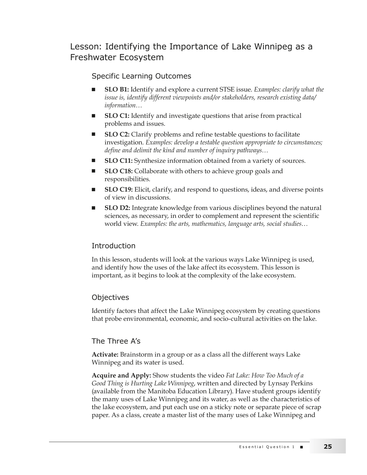# Lesson: Identifying the Importance of Lake Winnipeg as a Freshwater Ecosystem

# Specific Learning Outcomes

- **SLO B1:** Identify and explore a current STSE issue. *Examples: clarify what the issue is, identify different viewpoints and/or stakeholders, research existing data/ information…*
- **SLO C1:** Identify and investigate questions that arise from practical problems and issues.
- **SLO C2:** Clarify problems and refine testable questions to facilitate investigation. *Examples: develop a testable question appropriate to circumstances; define and delimit the kind and number of inquiry pathways…*
- **SLO C11:** Synthesize information obtained from a variety of sources.
- SLO C18: Collaborate with others to achieve group goals and responsibilities.
- **SLO C19:** Elicit, clarify, and respond to questions, ideas, and diverse points of view in discussions.
- **SLO D2:** Integrate knowledge from various disciplines beyond the natural sciences, as necessary, in order to complement and represent the scientific world view. *Examples: the arts, mathematics, language arts, social studies…*

### Introduction

In this lesson, students will look at the various ways Lake Winnipeg is used, and identify how the uses of the lake affect its ecosystem. This lesson is important, as it begins to look at the complexity of the lake ecosystem.

#### **Objectives**

Identify factors that affect the Lake Winnipeg ecosystem by creating questions that probe environmental, economic, and socio-cultural activities on the lake.

### The Three A's

**Activate:** Brainstorm in a group or as a class all the different ways Lake Winnipeg and its water is used.

**Acquire and Apply:** Show students the video *Fat Lake: How Too Much of a Good Thing is Hurting Lake Winnipeg*, written and directed by Lynsay Perkins (available from the Manitoba Education Library). Have student groups identify the many uses of Lake Winnipeg and its water, as well as the characteristics of the lake ecosystem, and put each use on a sticky note or separate piece of scrap paper. As a class, create a master list of the many uses of Lake Winnipeg and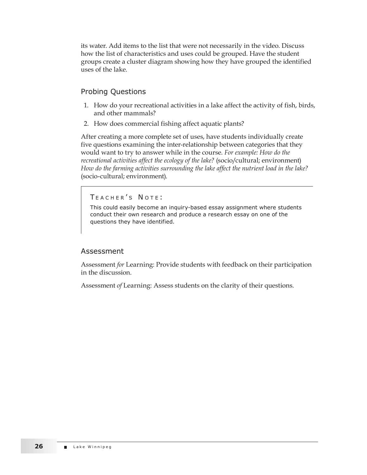its water. Add items to the list that were not necessarily in the video. Discuss how the list of characteristics and uses could be grouped. Have the student groups create a cluster diagram showing how they have grouped the identified uses of the lake.

# Probing Questions

- 1. How do your recreational activities in a lake affect the activity of fish, birds, and other mammals?
- 2. How does commercial fishing affect aquatic plants?

After creating a more complete set of uses, have students individually create five questions examining the inter-relationship between categories that they would want to try to answer while in the course. *For example: How do the recreational activities affect the ecology of the lake?* (socio/cultural; environment) *How do the farming activities surrounding the lake affect the nutrient load in the lake?*  (socio-cultural; environment).

TEACHER'S NOTE:

This could easily become an inquiry-based essay assignment where students conduct their own research and produce a research essay on one of the questions they have identified.

#### Assessment

Assessment *for* Learning: Provide students with feedback on their participation in the discussion.

Assessment *of* Learning: Assess students on the clarity of their questions.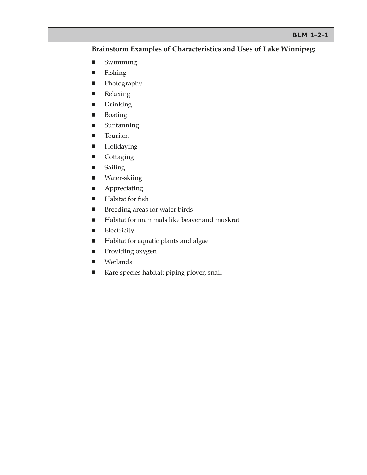#### **BLM 1-2-1**

#### **Brainstorm Examples of Characteristics and Uses of Lake Winnipeg:**

- $\blacksquare$  Swimming
- Fishing
- **Photography**
- **Relaxing**
- **Drinking**
- Boating
- $\blacksquare$  Suntanning
- **Tourism**
- **Holidaying**
- **Cottaging**
- **B** Sailing
- Water-skiing
- **Appreciating**
- **Habitat for fish**
- **Breeding areas for water birds**
- Habitat for mammals like beaver and muskrat
- **Electricity**
- **Habitat for aquatic plants and algae**
- **Providing oxygen**
- **Netlands**
- Rare species habitat: piping plover, snail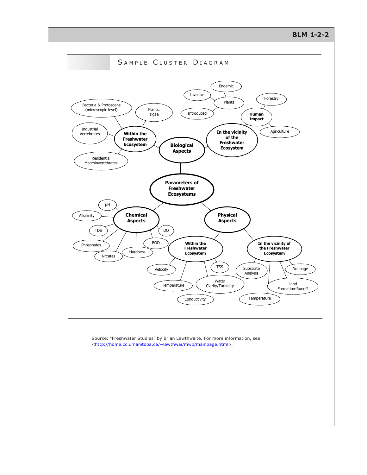**BLM 1-2-2**



Source: "Freshwater Studies" by Brian Lewthwaite. For more information, see <[http://home.cc.umanitoba.ca/~lewthwai/mwp/mainpage.html>](http://home.cc.umanitoba.ca/~lewthwai/mwp/mainpage.html).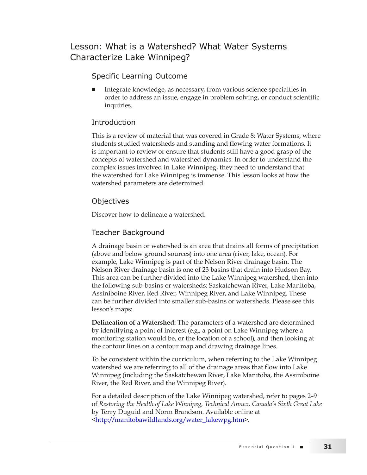# Lesson: What is a Watershed? What Water Systems Characterize Lake Winnipeg?

# Specific Learning Outcome

Integrate knowledge, as necessary, from various science specialties in order to address an issue, engage in problem solving, or conduct scientific inquiries.

## Introduction

This is a review of material that was covered in Grade 8: Water Systems, where students studied watersheds and standing and flowing water formations. It is important to review or ensure that students still have a good grasp of the concepts of watershed and watershed dynamics. In order to understand the complex issues involved in Lake Winnipeg, they need to understand that the watershed for Lake Winnipeg is immense. This lesson looks at how the watershed parameters are determined.

### **Objectives**

Discover how to delineate a watershed.

### Teacher Background

A drainage basin or watershed is an area that drains all forms of precipitation (above and below ground sources) into one area (river, lake, ocean). For example, Lake Winnipeg is part of the Nelson River drainage basin. The Nelson River drainage basin is one of 23 basins that drain into Hudson Bay. This area can be further divided into the Lake Winnipeg watershed, then into the following sub-basins or watersheds: Saskatchewan River, Lake Manitoba, Assiniboine River, Red River, Winnipeg River, and Lake Winnipeg. These can be further divided into smaller sub-basins or watersheds. Please see this lesson's maps:

**Delineation of a Watershed:** The parameters of a watershed are determined by identifying a point of interest (e.g., a point on Lake Winnipeg where a monitoring station would be, or the location of a school), and then looking at the contour lines on a contour map and drawing drainage lines.

To be consistent within the curriculum, when referring to the Lake Winnipeg watershed we are referring to all of the drainage areas that flow into Lake Winnipeg (including the Saskatchewan River, Lake Manitoba, the Assiniboine River, the Red River, and the Winnipeg River).

For a detailed description of the Lake Winnipeg watershed, refer to pages 2–9 of *Restoring the Health of Lake Winnipeg, Technical Annex, Canada's Sixth Great Lake* by Terry Duguid and Norm Brandson. Available online at [<http://manitobawildlands.org/water\\_lakewpg.htm>](http://manitobawildlands.org/water_lakewpg.htm).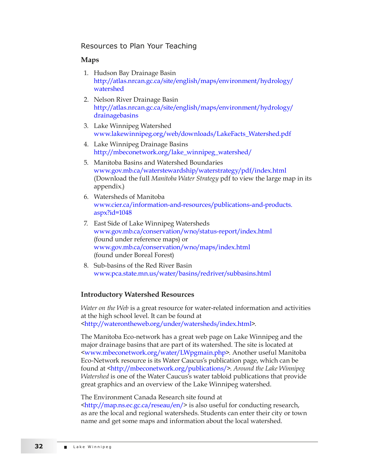#### Resources to Plan Your Teaching

#### **Maps**

- 1. Hudson Bay Drainage Basin [http://atlas.nrcan.gc.ca/site/english/maps/environment/hydrology/](http://atlas.nrcan.gc.ca/site/english/maps/environment/hydrology/watershed) [watershed](http://atlas.nrcan.gc.ca/site/english/maps/environment/hydrology/watershed)
- 2. Nelson River Drainage Basin [http://atlas.nrcan.gc.ca/site/english/maps/environment/hydrology/](http://atlas.nrcan.gc.ca/site/english/maps/environment/hydrology/drainagebasins) [drainagebasins](http://atlas.nrcan.gc.ca/site/english/maps/environment/hydrology/drainagebasins)
- 3. Lake Winnipeg Watershed [www.lakewinnipeg.org/web/downloads/LakeFacts\\_Watershed.pdf](http://www.lakewinnipeg.org/web/downloads/LakeFacts_Watershed.pdf)
- 4. Lake Winnipeg Drainage Basins [http://mbeconetwork.org/lake\\_winnipeg\\_watershed/](http://mbeconetwork.org/lake_winnipeg_watershed/)
- 5. Manitoba Basins and Watershed Boundaries [www.gov.mb.ca/waterstewardship/waterstrategy/pdf/index.html](http://www.gov.mb.ca/waterstewardship/waterstrategy/pdf/index.html) (Download the full *Manitoba Water Strategy* pdf to view the large map in its appendix.)
- 6. Watersheds of Manitoba [www.cier.ca/information-and-resources/publications-and-products.](http://www.cier.ca/information-and-resources/publications-and-products.aspx?id=1048) [aspx?id=1048](http://www.cier.ca/information-and-resources/publications-and-products.aspx?id=1048)
- 7. East Side of Lake Winnipeg Watersheds [www.gov.mb.ca/conservation/wno/status-report/index.html](http://www.gov.mb.ca/conservation/wno/status-report/index.html) (found under reference maps) or [www.gov.mb.ca/conservation/wno/maps/index.html](http://www.gov.mb.ca/conservation/wno/maps/index.html) (found under Boreal Forest)
- 8. Sub-basins of the Red River Basin [www.pca.state.mn.us/water/basins/redriver/subbasins.html](http://www.pca.state.mn.us/water/basins/redriver/subbasins.html)

#### **Introductory Watershed Resources**

*Water on the Web* is a great resource for water-related information and activities at the high school level. It can be found at [<http://waterontheweb.org/under/watersheds/index.html](http://waterontheweb.org/under/watersheds/index.html)>.

The Manitoba Eco-network has a great web page on Lake Winnipeg and the major drainage basins that are part of its watershed. The site is located at [<www.mbeconetwork.org/water/LWpgmain.php>](http://www.mbeconetwork.org/water/LWpgmain.php). Another useful Manitoba Eco-Network resource is its Water Caucus's publication page, which can be found at [<http://mbeconetwork.org/publications/>](http://mbeconetwork.org/publications/). *Around the Lake Winnipeg Watershed* is one of the Water Caucus's water tabloid publications that provide great graphics and an overview of the Lake Winnipeg watershed.

#### The Environment Canada Research site found at

[<http://map.ns.ec.gc.ca/reseau/en/](http://map.ns.ec.gc.ca/reseau/en/)> is also useful for conducting research, as are the local and regional watersheds. Students can enter their city or town name and get some maps and information about the local watershed.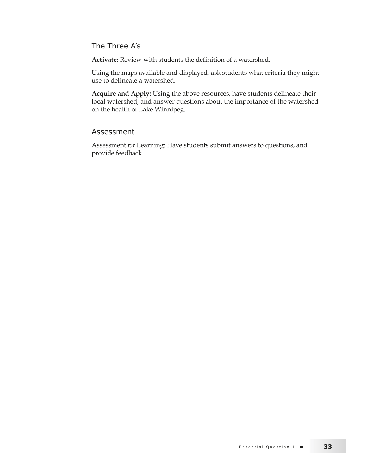The Three A's

**Activate:** Review with students the definition of a watershed.

Using the maps available and displayed, ask students what criteria they might use to delineate a watershed.

**Acquire and Apply:** Using the above resources, have students delineate their local watershed, and answer questions about the importance of the watershed on the health of Lake Winnipeg.

#### Assessment

Assessment *for* Learning: Have students submit answers to questions, and provide feedback.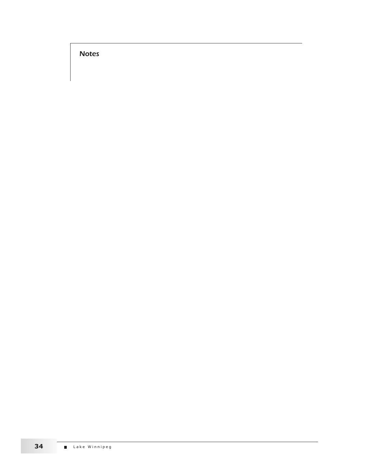Notes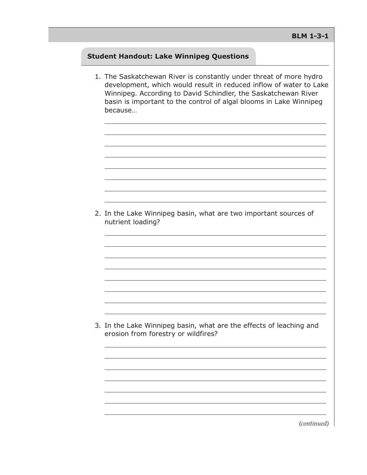### **Student Handout: Lake Winnipeg Questions**

1. The Saskatchewan River is constantly under threat of more hydro development, which would result in reduced inflow of water to Lake Winnipeg. According to David Schindler, the Saskatchewan River basin is important to the control of algal blooms in Lake Winnipeg because…

2. In the Lake Winnipeg basin, what are two important sources of nutrient loading?

3. In the Lake Winnipeg basin, what are the effects of leaching and erosion from forestry or wildfires?

*(continued)*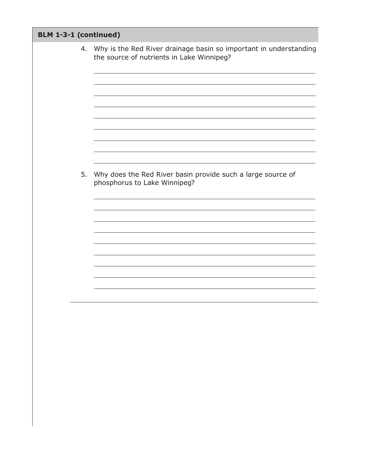| BLM 1-3-1 (continued) |    |                                                                                                                |
|-----------------------|----|----------------------------------------------------------------------------------------------------------------|
|                       | 4. | Why is the Red River drainage basin so important in understanding<br>the source of nutrients in Lake Winnipeg? |
|                       |    |                                                                                                                |
|                       | 5. | Why does the Red River basin provide such a large source of<br>phosphorus to Lake Winnipeg?                    |
|                       |    |                                                                                                                |
|                       |    |                                                                                                                |
|                       |    |                                                                                                                |
|                       |    |                                                                                                                |
|                       |    |                                                                                                                |
|                       |    |                                                                                                                |
|                       |    |                                                                                                                |
|                       |    |                                                                                                                |
|                       |    |                                                                                                                |
|                       |    |                                                                                                                |
|                       |    |                                                                                                                |
|                       |    |                                                                                                                |
|                       |    |                                                                                                                |
|                       |    |                                                                                                                |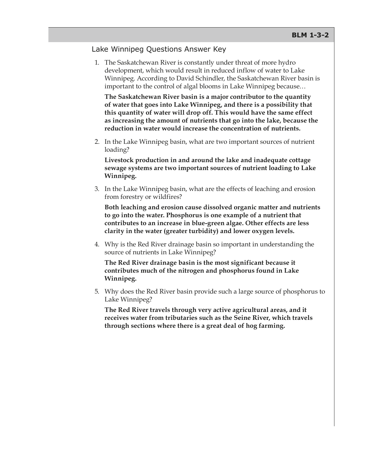#### Lake Winnipeg Questions Answer Key

1. The Saskatchewan River is constantly under threat of more hydro development, which would result in reduced inflow of water to Lake Winnipeg. According to David Schindler, the Saskatchewan River basin is important to the control of algal blooms in Lake Winnipeg because…

**The Saskatchewan River basin is a major contributor to the quantity of water that goes into Lake Winnipeg, and there is a possibility that this quantity of water will drop off. This would have the same effect as increasing the amount of nutrients that go into the lake, because the reduction in water would increase the concentration of nutrients.**

2. In the Lake Winnipeg basin, what are two important sources of nutrient loading?

**Livestock production in and around the lake and inadequate cottage sewage systems are two important sources of nutrient loading to Lake Winnipeg.**

3. In the Lake Winnipeg basin, what are the effects of leaching and erosion from forestry or wildfires?

**Both leaching and erosion cause dissolved organic matter and nutrients to go into the water. Phosphorus is one example of a nutrient that contributes to an increase in blue-green algae. Other effects are less clarity in the water (greater turbidity) and lower oxygen levels.**

4. Why is the Red River drainage basin so important in understanding the source of nutrients in Lake Winnipeg?

**The Red River drainage basin is the most significant because it contributes much of the nitrogen and phosphorus found in Lake Winnipeg.**

5. Why does the Red River basin provide such a large source of phosphorus to Lake Winnipeg?

**The Red River travels through very active agricultural areas, and it receives water from tributaries such as the Seine River, which travels through sections where there is a great deal of hog farming.**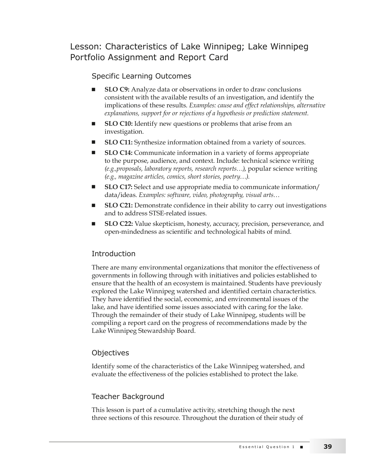Lesson: Characteristics of Lake Winnipeg; Lake Winnipeg Portfolio Assignment and Report Card

### Specific Learning Outcomes

- **SLO C9:** Analyze data or observations in order to draw conclusions consistent with the available results of an investigation, and identify the implications of these results. *Examples: cause and effect relationships, alternative explanations, support for or rejections of a hypothesis or prediction statement.*
- **SLO C10:** Identify new questions or problems that arise from an investigation.
- **SLO C11:** Synthesize information obtained from a variety of sources.
- **SLO C14:** Communicate information in a variety of forms appropriate to the purpose, audience, and context. Include: technical science writing *(e.g.,proposals, laboratory reports, research reports…)*, popular science writing *(e.g., magazine articles, comics, short stories, poetry…).*
- **SLO C17:** Select and use appropriate media to communicate information/ data/ideas. *Examples: software, video, photography, visual arts…*
- SLO C21: Demonstrate confidence in their ability to carry out investigations and to address STSE-related issues.
- SLO C22: Value skepticism, honesty, accuracy, precision, perseverance, and open-mindedness as scientific and technological habits of mind.

#### Introduction

There are many environmental organizations that monitor the effectiveness of governments in following through with initiatives and policies established to ensure that the health of an ecosystem is maintained. Students have previously explored the Lake Winnipeg watershed and identified certain characteristics. They have identified the social, economic, and environmental issues of the lake, and have identified some issues associated with caring for the lake. Through the remainder of their study of Lake Winnipeg, students will be compiling a report card on the progress of recommendations made by the Lake Winnipeg Stewardship Board.

#### **Objectives**

Identify some of the characteristics of the Lake Winnipeg watershed, and evaluate the effectiveness of the policies established to protect the lake.

#### Teacher Background

This lesson is part of a cumulative activity, stretching though the next three sections of this resource. Throughout the duration of their study of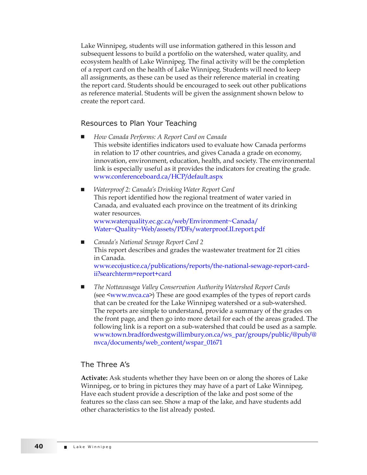Lake Winnipeg, students will use information gathered in this lesson and subsequent lessons to build a portfolio on the watershed, water quality, and ecosystem health of Lake Winnipeg. The final activity will be the completion of a report card on the health of Lake Winnipeg. Students will need to keep all assignments, as these can be used as their reference material in creating the report card. Students should be encouraged to seek out other publications as reference material. Students will be given the assignment shown below to create the report card.

#### Resources to Plan Your Teaching

- <sup>Q</sup> *How Canada Performs: A Report Card on Canada* This website identifies indicators used to evaluate how Canada performs in relation to 17 other countries, and gives Canada a grade on economy, innovation, environment, education, health, and society. The environmental link is especially useful as it provides the indicators for creating the grade. [www.conferenceboard.ca/HCP/default.aspx](http://www.conferenceboard.ca/HCP/default.aspx)
- <sup>Q</sup> *Waterproof 2: Canada's Drinking Water Report Card* This report identified how the regional treatment of water varied in Canada, and evaluated each province on the treatment of its drinking water resources. [www.waterquality.ec.gc.ca/web/Environment~Canada/](http://www.waterquality.ec.gc.ca/web/Environment~Canada/Water~Quality~Web/assets/PDFs/waterproof.II.report.pdf) [Water~Quality~Web/assets/PDFs/waterproof.II.report.pdf](http://www.waterquality.ec.gc.ca/web/Environment~Canada/Water~Quality~Web/assets/PDFs/waterproof.II.report.pdf)
- <sup>Q</sup> *Canada's National Sewage Report Card 2* This report describes and grades the wastewater treatment for 21 cities in Canada. [www.ecojustice.ca/publications/reports/the-national-sewage-report-card](http://www.ecojustice.ca/publications/reports/the-national-sewage-report-card-ii?searchterm=report+card)[ii?searchterm=report+card](http://www.ecojustice.ca/publications/reports/the-national-sewage-report-card-ii?searchterm=report+card)
- The Nottawasaga Valley Conservation Authority Watershed Report Cards (see [<www.nvca.ca>](http://www.nvca.ca)) These are good examples of the types of report cards that can be created for the Lake Winnipeg watershed or a sub-watershed. The reports are simple to understand, provide a summary of the grades on the front page, and then go into more detail for each of the areas graded. The following link is a report on a sub-watershed that could be used as a sample. [www.town.bradfordwestgwillimbury.on.ca/ws\\_par/groups/public/@pub/@](http://www.town.bradfordwestgwillimbury.on.ca/ws_par/groups/public/@pub/@nvca/documents/web_content/wspar_01671) [nvca/documents/web\\_content/wspar\\_01671](http://www.town.bradfordwestgwillimbury.on.ca/ws_par/groups/public/@pub/@nvca/documents/web_content/wspar_01671)

#### The Three A's

**Activate:** Ask students whether they have been on or along the shores of Lake Winnipeg, or to bring in pictures they may have of a part of Lake Winnipeg. Have each student provide a description of the lake and post some of the features so the class can see. Show a map of the lake, and have students add other characteristics to the list already posted.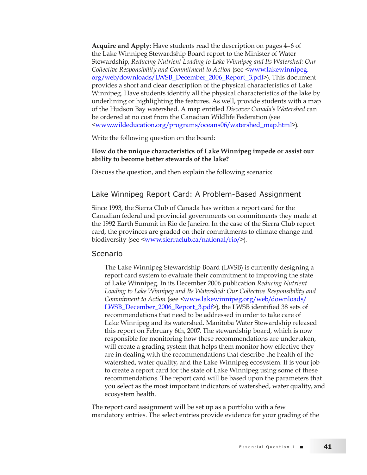**Acquire and Apply:** Have students read the description on pages 4–6 of the Lake Winnipeg Stewardship Board report to the Minister of Water Stewardship, *Reducing Nutrient Loading to Lake Winnipeg and Its Watershed: Our Collective Responsibility and Commitment to Action* (see <[www.lakewinnipeg.](http://www.lakewinnipeg.org/web/downloads/LWSB_December_2006_Report_3.pdf) [org/web/downloads/LWSB\\_December\\_2006\\_Report\\_3.pdf>](http://www.lakewinnipeg.org/web/downloads/LWSB_December_2006_Report_3.pdf)). This document provides a short and clear description of the physical characteristics of Lake Winnipeg. Have students identify all the physical characteristics of the lake by underlining or highlighting the features. As well, provide students with a map of the Hudson Bay watershed. A map entitled *Discover Canada's Watershed* can be ordered at no cost from the Canadian Wildlife Federation (see [<www.wildeducation.org/programs/oceans06/watershed\\_map.html>](http://www.wildeducation.org/programs/oceans06/watershed_map.html)).

Write the following question on the board:

#### **How do the unique characteristics of Lake Winnipeg impede or assist our ability to become better stewards of the lake?**

Discuss the question, and then explain the following scenario:

### Lake Winnipeg Report Card: A Problem-Based Assignment

Since 1993, the Sierra Club of Canada has written a report card for the Canadian federal and provincial governments on commitments they made at the 1992 Earth Summit in Rio de Janeiro. In the case of the Sierra Club report card, the provinces are graded on their commitments to climate change and biodiversity (see <[www.sierraclub.ca/national/rio/>](http://www.sierraclub.ca/national/rio/)).

#### Scenario

The Lake Winnipeg Stewardship Board (LWSB) is currently designing a report card system to evaluate their commitment to improving the state of Lake Winnipeg. In its December 2006 publication *Reducing Nutrient Loading to Lake Winnipeg and Its Watershed: Our Collective Responsibility and Commitment to Action* (see [<www.lakewinnipeg.org/web/downloads/](http://www.lakewinnipeg.org/web/downloads/LWSB_December_2006_Report_3.pdf) [LWSB\\_December\\_2006\\_Report\\_3.pdf](http://www.lakewinnipeg.org/web/downloads/LWSB_December_2006_Report_3.pdf)>), the LWSB identified 38 sets of recommendations that need to be addressed in order to take care of Lake Winnipeg and its watershed. Manitoba Water Stewardship released this report on February 6th, 2007. The stewardship board, which is now responsible for monitoring how these recommendations are undertaken, will create a grading system that helps them monitor how effective they are in dealing with the recommendations that describe the health of the watershed, water quality, and the Lake Winnipeg ecosystem. It is your job to create a report card for the state of Lake Winnipeg using some of these recommendations. The report card will be based upon the parameters that you select as the most important indicators of watershed, water quality, and ecosystem health.

The report card assignment will be set up as a portfolio with a few mandatory entries. The select entries provide evidence for your grading of the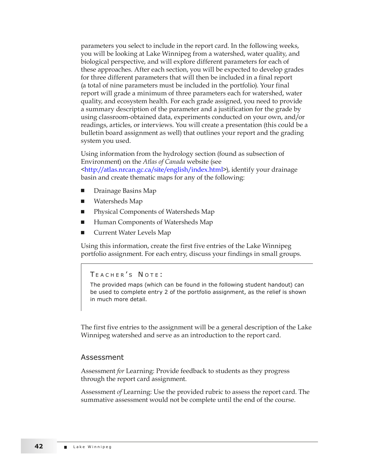parameters you select to include in the report card. In the following weeks, you will be looking at Lake Winnipeg from a watershed, water quality, and biological perspective, and will explore different parameters for each of these approaches. After each section, you will be expected to develop grades for three different parameters that will then be included in a final report (a total of nine parameters must be included in the portfolio). Your final report will grade a minimum of three parameters each for watershed, water quality, and ecosystem health. For each grade assigned, you need to provide a summary description of the parameter and a justification for the grade by using classroom-obtained data, experiments conducted on your own, and/or readings, articles, or interviews. You will create a presentation (this could be a bulletin board assignment as well) that outlines your report and the grading system you used.

Using information from the hydrology section (found as subsection of Environment) on the *Atlas of Canada* website (see [<http://atlas.nrcan.gc.ca/site/english/index.html>](http://atlas.nrcan.gc.ca/site/english/index.html)), identify your drainage basin and create thematic maps for any of the following:

- Drainage Basins Map
- Watersheds Map
- Physical Components of Watersheds Map
- Human Components of Watersheds Map
- <sup>Q</sup> Current Water Levels Map

Using this information, create the first five entries of the Lake Winnipeg portfolio assignment. For each entry, discuss your findings in small groups.

TEACHER'S NOTE:

The provided maps (which can be found in the following student handout) can be used to complete entry 2 of the portfolio assignment, as the relief is shown in much more detail.

The first five entries to the assignment will be a general description of the Lake Winnipeg watershed and serve as an introduction to the report card.

#### Assessment

Assessment *for* Learning: Provide feedback to students as they progress through the report card assignment.

Assessment *of* Learning: Use the provided rubric to assess the report card. The summative assessment would not be complete until the end of the course.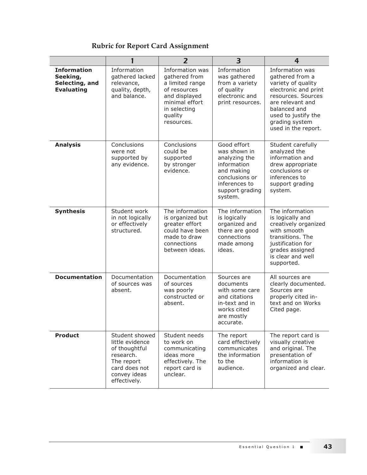# **Rubric for Report Card Assignment**

|                                                                       | 1                                                                                                                              | $\overline{2}$                                                                                                                                  | 3                                                                                                                                          | 4                                                                                                                                                                                                          |
|-----------------------------------------------------------------------|--------------------------------------------------------------------------------------------------------------------------------|-------------------------------------------------------------------------------------------------------------------------------------------------|--------------------------------------------------------------------------------------------------------------------------------------------|------------------------------------------------------------------------------------------------------------------------------------------------------------------------------------------------------------|
| <b>Information</b><br>Seeking,<br>Selecting, and<br><b>Evaluating</b> | Information<br>gathered lacked<br>relevance,<br>quality, depth,<br>and balance.                                                | Information was<br>gathered from<br>a limited range<br>of resources<br>and displayed<br>minimal effort<br>in selecting<br>quality<br>resources. | Information<br>was gathered<br>from a variety<br>of quality<br>electronic and<br>print resources.                                          | Information was<br>gathered from a<br>variety of quality<br>electronic and print<br>resources. Sources<br>are relevant and<br>balanced and<br>used to justify the<br>grading system<br>used in the report. |
| <b>Analysis</b>                                                       | Conclusions<br>were not<br>supported by<br>any evidence.                                                                       | Conclusions<br>could be<br>supported<br>by stronger<br>evidence.                                                                                | Good effort<br>was shown in<br>analyzing the<br>information<br>and making<br>conclusions or<br>inferences to<br>support grading<br>system. | Student carefully<br>analyzed the<br>information and<br>drew appropriate<br>conclusions or<br>inferences to<br>support grading<br>system.                                                                  |
| <b>Synthesis</b>                                                      | Student work<br>in not logically<br>or effectively<br>structured.                                                              | The information<br>is organized but<br>greater effort<br>could have been<br>made to draw<br>connections<br>between ideas.                       | The information<br>is logically<br>organized and<br>there are good<br>connections<br>made among<br>ideas.                                  | The information<br>is logically and<br>creatively organized<br>with smooth<br>transitions. The<br>justification for<br>grades assigned<br>is clear and well<br>supported.                                  |
| <b>Documentation</b>                                                  | Documentation<br>of sources was<br>absent.                                                                                     | Documentation<br>of sources<br>was poorly<br>constructed or<br>absent.                                                                          | Sources are<br>documents<br>with some care<br>and citations<br>in-text and in<br>works cited<br>are mostly<br>accurate.                    | All sources are<br>clearly documented.<br>Sources are<br>properly cited in-<br>text and on Works<br>Cited page.                                                                                            |
| <b>Product</b>                                                        | Student showed<br>little evidence<br>of thoughtful<br>research.<br>The report<br>card does not<br>convey ideas<br>effectively. | Student needs<br>to work on<br>communicating<br>ideas more<br>effectively. The<br>report card is<br>unclear.                                    | The report<br>card effectively<br>communicates<br>the information<br>to the<br>audience.                                                   | The report card is<br>visually creative<br>and original. The<br>presentation of<br>information is<br>organized and clear.                                                                                  |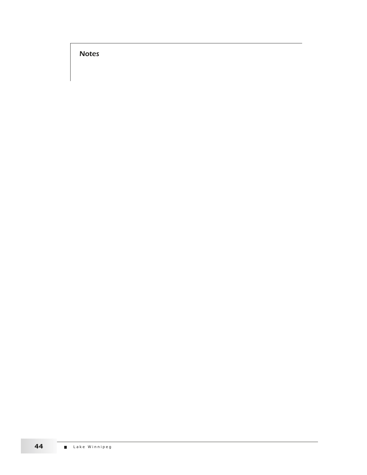Notes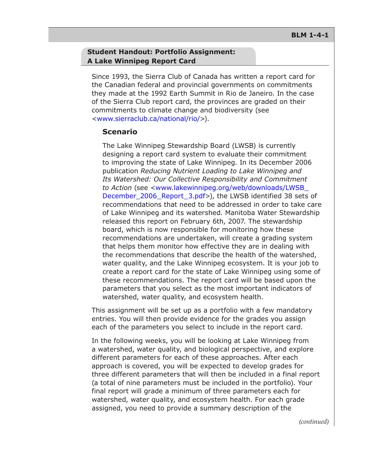#### **Student Handout: Portfolio Assignment: A Lake Winnipeg Report Card**

Since 1993, the Sierra Club of Canada has written a report card for the Canadian federal and provincial governments on commitments they made at the 1992 Earth Summit in Rio de Janeiro. In the case of the Sierra Club report card, the provinces are graded on their commitments to climate change and biodiversity (see <[www.sierraclub.ca/national/rio/](http://www.sierraclub.ca/national/rio/)>).

#### **Scenario**

The Lake Winnipeg Stewardship Board (LWSB) is currently designing a report card system to evaluate their commitment to improving the state of Lake Winnipeg. In its December 2006 publication *Reducing Nutrient Loading to Lake Winnipeg and Its Watershed: Our Collective Responsibility and Commitment to Action* (see <[www.lakewinnipeg.org/web/downloads/LWSB\\_](http://www.lakewinnipeg.
org/web/downloads/LWSB_December_2006_Report_3.pdf) [December\\_2006\\_Report\\_3.pdf](http://www.lakewinnipeg.
org/web/downloads/LWSB_December_2006_Report_3.pdf)>), the LWSB identified 38 sets of recommendations that need to be addressed in order to take care of Lake Winnipeg and its watershed. Manitoba Water Stewardship released this report on February 6th, 2007. The stewardship board, which is now responsible for monitoring how these recommendations are undertaken, will create a grading system that helps them monitor how effective they are in dealing with the recommendations that describe the health of the watershed, water quality, and the Lake Winnipeg ecosystem. It is your job to create a report card for the state of Lake Winnipeg using some of these recommendations. The report card will be based upon the parameters that you select as the most important indicators of watershed, water quality, and ecosystem health.

This assignment will be set up as a portfolio with a few mandatory entries. You will then provide evidence for the grades you assign each of the parameters you select to include in the report card.

In the following weeks, you will be looking at Lake Winnipeg from a watershed, water quality, and biological perspective, and explore different parameters for each of these approaches. After each approach is covered, you will be expected to develop grades for three different parameters that will then be included in a final report (a total of nine parameters must be included in the portfolio). Your final report will grade a minimum of three parameters each for watershed, water quality, and ecosystem health. For each grade assigned, you need to provide a summary description of the

*(continued)*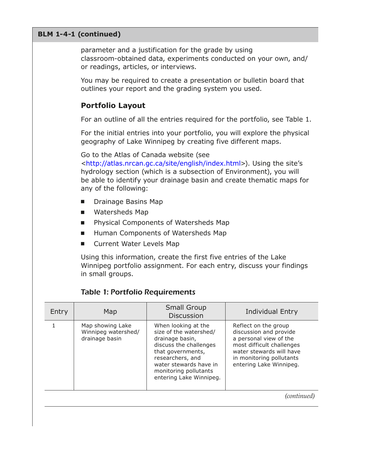#### **BLM 1-4-1 (continued)**

parameter and a justification for the grade by using classroom‑obtained data, experiments conducted on your own, and/ or readings, articles, or interviews.

You may be required to create a presentation or bulletin board that outlines your report and the grading system you used.

#### **Portfolio Layout**

For an outline of all the entries required for the portfolio, see Table 1.

For the initial entries into your portfolio, you will explore the physical geography of Lake Winnipeg by creating five different maps.

Go to the Atlas of Canada website (see

[<http://atlas.nrcan.gc.ca/site/english/index.html](http://http://atlas.nrcan.gc.ca/site/english/index.html)>). Using the site's hydrology section (which is a subsection of Environment), you will be able to identify your drainage basin and create thematic maps for any of the following:

- Drainage Basins Map
- Watersheds Map
- Physical Components of Watersheds Map
- **Human Components of Watersheds Map**
- **Current Water Levels Map**

Using this information, create the first five entries of the Lake Winnipeg portfolio assignment. For each entry, discuss your findings in small groups.

#### Table 1: Portfolio Requirements

| Entry | Map                                                       | Small Group<br><b>Discussion</b>                                                                                                                                                                                  | <b>Individual Entry</b>                                                                                                                                                                  |
|-------|-----------------------------------------------------------|-------------------------------------------------------------------------------------------------------------------------------------------------------------------------------------------------------------------|------------------------------------------------------------------------------------------------------------------------------------------------------------------------------------------|
|       | Map showing Lake<br>Winnipeg watershed/<br>drainage basin | When looking at the<br>size of the watershed/<br>drainage basin,<br>discuss the challenges<br>that governments,<br>researchers, and<br>water stewards have in<br>monitoring pollutants<br>entering Lake Winnipeg. | Reflect on the group<br>discussion and provide<br>a personal view of the<br>most difficult challenges<br>water stewards will have<br>in monitoring pollutants<br>entering Lake Winnipeg. |
|       |                                                           |                                                                                                                                                                                                                   | (continued)                                                                                                                                                                              |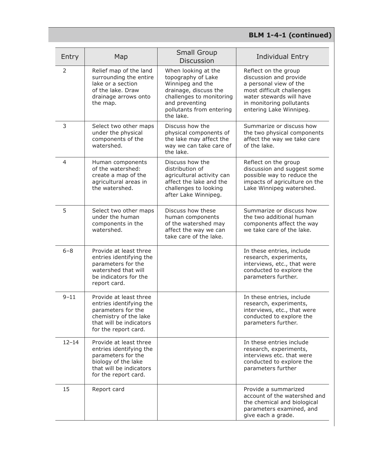# **BLM 1-4-1 (continued)**

| Entry     | Map                                                                                                                                                 | <b>Small Group</b><br><b>Discussion</b>                                                                                                                                       | <b>Individual Entry</b>                                                                                                                                                                  |
|-----------|-----------------------------------------------------------------------------------------------------------------------------------------------------|-------------------------------------------------------------------------------------------------------------------------------------------------------------------------------|------------------------------------------------------------------------------------------------------------------------------------------------------------------------------------------|
| 2         | Relief map of the land<br>surrounding the entire<br>lake or a section<br>of the lake. Draw<br>drainage arrows onto<br>the map.                      | When looking at the<br>topography of Lake<br>Winnipeg and the<br>drainage, discuss the<br>challenges to monitoring<br>and preventing<br>pollutants from entering<br>the lake. | Reflect on the group<br>discussion and provide<br>a personal view of the<br>most difficult challenges<br>water stewards will have<br>in monitoring pollutants<br>entering Lake Winnipeg. |
| 3         | Select two other maps<br>under the physical<br>components of the<br>watershed.                                                                      | Discuss how the<br>physical components of<br>the lake may affect the<br>way we can take care of<br>the lake.                                                                  | Summarize or discuss how<br>the two physical components<br>affect the way we take care<br>of the lake.                                                                                   |
| 4         | Human components<br>of the watershed:<br>create a map of the<br>agricultural areas in<br>the watershed.                                             | Discuss how the<br>distribution of<br>agricultural activity can<br>affect the lake and the<br>challenges to looking<br>after Lake Winnipeg.                                   | Reflect on the group<br>discussion and suggest some<br>possible way to reduce the<br>impacts of agriculture on the<br>Lake Winnipeg watershed.                                           |
| 5         | Select two other maps<br>under the human<br>components in the<br>watershed.                                                                         | Discuss how these<br>human components<br>of the watershed may<br>affect the way we can<br>take care of the lake.                                                              | Summarize or discuss how<br>the two additional human<br>components affect the way<br>we take care of the lake.                                                                           |
| $6 - 8$   | Provide at least three<br>entries identifying the<br>parameters for the<br>watershed that will<br>be indicators for the<br>report card.             |                                                                                                                                                                               | In these entries, include<br>research, experiments,<br>interviews, etc., that were<br>conducted to explore the<br>parameters further.                                                    |
| $9 - 11$  | Provide at least three<br>entries identifying the<br>parameters for the<br>chemistry of the lake<br>that will be indicators<br>for the report card. |                                                                                                                                                                               | In these entries, include<br>research, experiments,<br>interviews, etc., that were<br>conducted to explore the<br>parameters further.                                                    |
| $12 - 14$ | Provide at least three<br>entries identifying the<br>parameters for the<br>biology of the lake<br>that will be indicators<br>for the report card.   |                                                                                                                                                                               | In these entries include<br>research, experiments,<br>interviews etc. that were<br>conducted to explore the<br>parameters further                                                        |
| 15        | Report card                                                                                                                                         |                                                                                                                                                                               | Provide a summarized<br>account of the watershed and<br>the chemical and biological<br>parameters examined, and<br>give each a grade.                                                    |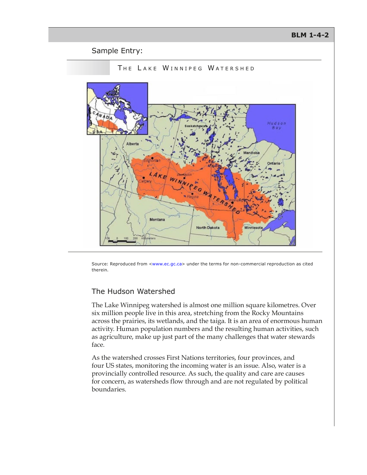#### **BLM 1-4-2**

#### Sample Entry:



Source: Reproduced from [<www.ec.gc.ca](http://www.ec.gc.ca)> under the terms for non-commercial reproduction as cited therein.

#### The Hudson Watershed

The Lake Winnipeg watershed is almost one million square kilometres. Over six million people live in this area, stretching from the Rocky Mountains across the prairies, its wetlands, and the taiga. It is an area of enormous human activity. Human population numbers and the resulting human activities, such as agriculture, make up just part of the many challenges that water stewards face.

As the watershed crosses First Nations territories, four provinces, and four US states, monitoring the incoming water is an issue. Also, water is a provincially controlled resource. As such, the quality and care are causes for concern, as watersheds flow through and are not regulated by political boundaries.